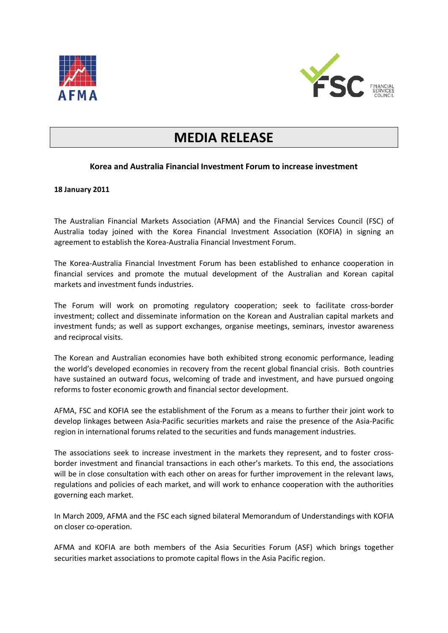



## **MEDIA RELEASE**

## **Korea and Australia Financial Investment Forum to increase investment**

## **18 January 2011**

The Australian Financial Markets Association (AFMA) and the Financial Services Council (FSC) of Australia today joined with the Korea Financial Investment Association (KOFIA) in signing an agreement to establish the Korea-Australia Financial Investment Forum.

The Korea-Australia Financial Investment Forum has been established to enhance cooperation in financial services and promote the mutual development of the Australian and Korean capital markets and investment funds industries.

The Forum will work on promoting regulatory cooperation; seek to facilitate cross-border investment; collect and disseminate information on the Korean and Australian capital markets and investment funds; as well as support exchanges, organise meetings, seminars, investor awareness and reciprocal visits.

The Korean and Australian economies have both exhibited strong economic performance, leading the world's developed economies in recovery from the recent global financial crisis. Both countries have sustained an outward focus, welcoming of trade and investment, and have pursued ongoing reforms to foster economic growth and financial sector development.

AFMA, FSC and KOFIA see the establishment of the Forum as a means to further their joint work to develop linkages between Asia-Pacific securities markets and raise the presence of the Asia-Pacific region in international forums related to the securities and funds management industries.

The associations seek to increase investment in the markets they represent, and to foster crossborder investment and financial transactions in each other's markets. To this end, the associations will be in close consultation with each other on areas for further improvement in the relevant laws, regulations and policies of each market, and will work to enhance cooperation with the authorities governing each market.

In March 2009, AFMA and the FSC each signed bilateral Memorandum of Understandings with KOFIA on closer co-operation.

AFMA and KOFIA are both members of the Asia Securities Forum (ASF) which brings together securities market associations to promote capital flows in the Asia Pacific region.